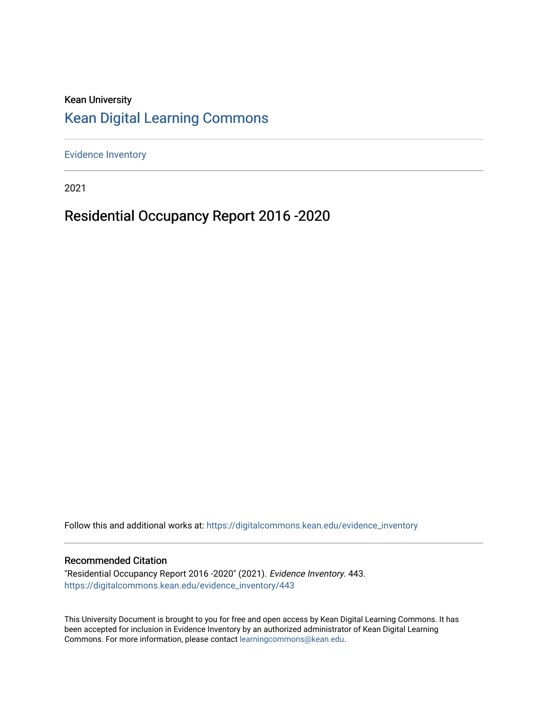### Kean University [Kean Digital Learning Commons](https://digitalcommons.kean.edu/)

[Evidence Inventory](https://digitalcommons.kean.edu/evidence_inventory) 

2021

# Residential Occupancy Report 2016 -2020

Follow this and additional works at: [https://digitalcommons.kean.edu/evidence\\_inventory](https://digitalcommons.kean.edu/evidence_inventory?utm_source=digitalcommons.kean.edu%2Fevidence_inventory%2F443&utm_medium=PDF&utm_campaign=PDFCoverPages)

#### Recommended Citation

"Residential Occupancy Report 2016 -2020" (2021). Evidence Inventory. 443. [https://digitalcommons.kean.edu/evidence\\_inventory/443](https://digitalcommons.kean.edu/evidence_inventory/443?utm_source=digitalcommons.kean.edu%2Fevidence_inventory%2F443&utm_medium=PDF&utm_campaign=PDFCoverPages)

This University Document is brought to you for free and open access by Kean Digital Learning Commons. It has been accepted for inclusion in Evidence Inventory by an authorized administrator of Kean Digital Learning Commons. For more information, please contact [learningcommons@kean.edu.](mailto:learningcommons@kean.edu)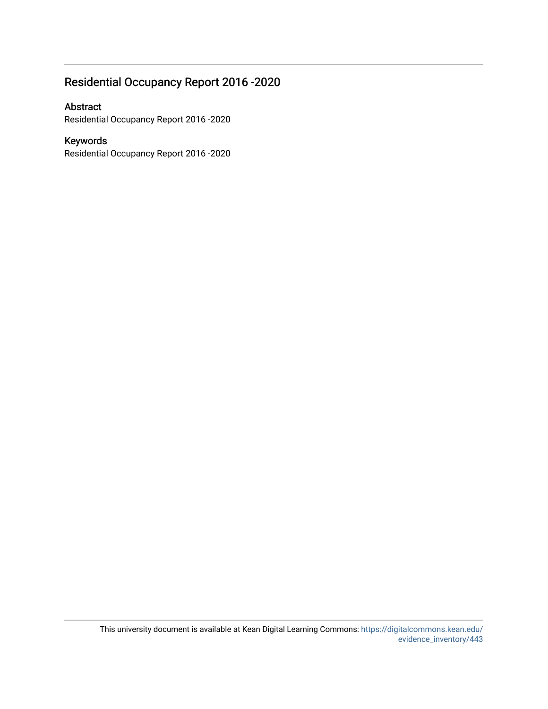## Residential Occupancy Report 2016 -2020

### Abstract

Residential Occupancy Report 2016 -2020

### Keywords

Residential Occupancy Report 2016 -2020